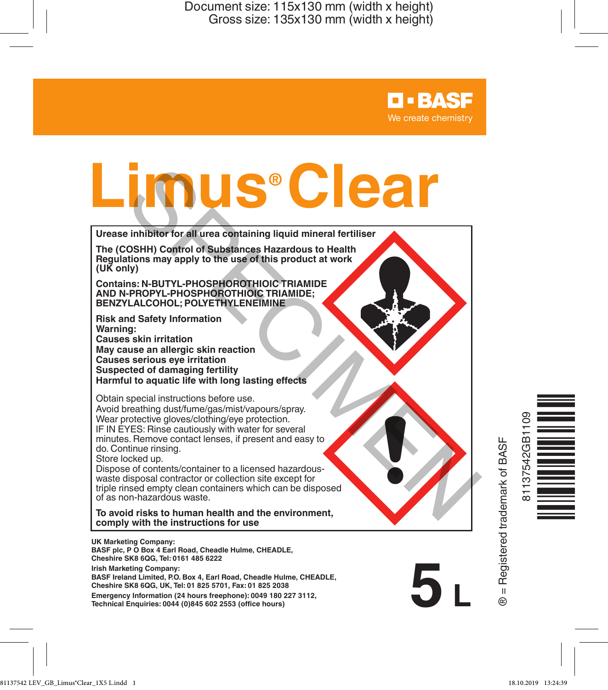> **D-BASF** We create chemistry

**5 L UK Marketing Company: BASF plc, P O Box 4 Earl Road, Cheadle Hulme, CHEADLE, Cheshire SK8 6QG, Tel: 0161 485 6222 Urease inhibitor for all urea containing liquid mineral fertiliser The (COSHH) Control of Substances Hazardous to Health Regulations may apply to the use of this product at work (UK only) Contains: N-BUTYL-PHOSPHOROTHIOIC TRIAMIDE AND N-PROPYL-PHOSPHOROTHIOIC TRIAMIDE; BENZYLALCOHOL; POLYETHYLENEIMINE Risk and Safety Information Warning: Causes skin irritation May cause an allergic skin reaction Causes serious eye irritation Suspected of damaging fertility Harmful to aquatic life with long lasting effects** Obtain special instructions before use. Avoid breathing dust/fume/gas/mist/vapours/spray. Wear protective gloves/clothing/eye protection. IF IN EYES: Rinse cautiously with water for several minutes. Remove contact lenses, if present and easy to do. Continue rinsing. Store locked up. Dispose of contents/container to a licensed hazardouswaste disposal contractor or collection site except for triple rinsed empty clean containers which can be disposed of as non-hazardous waste. **To avoid risks to human health and the environment, comply with the instructions for use Lime (COSHIP)** Control of Substances Hazardous to Health<br>The (COSHIP) Control of Substances Hazardous to Health<br>The (COSHIP) Control of Substances Hazardous to Health<br>(UK only)<br>AND N-PROPYL-PHOSP-POROTHIOIC TRIAMIDE;<br>EENI

**Irish Marketing Company: BASF Ireland Limited, P.O. Box 4, Earl Road, Cheadle Hulme, CHEADLE, Cheshire SK8 6QG, UK, Tel: 01 825 5701, Fax: 01 825 2038**

**Emergency Information (24 hours freephone): 0049 180 227 3112, Technical Enquiries: 0044 (0)845 602 2553 (office hours)**

3 = Registered trademark of BASF ® = Registered trademark of BASF

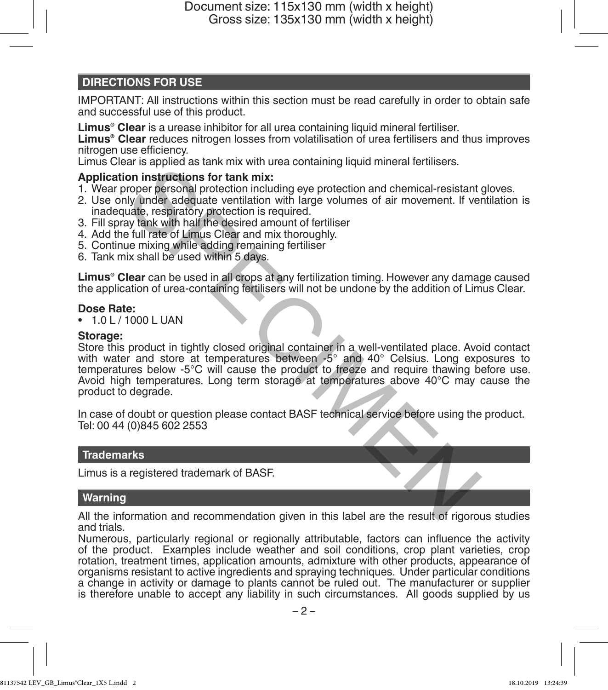# **DIRECTIONS FOR USE**

IMPORTANT: All instructions within this section must be read carefully in order to obtain safe and successful use of this product.

**Limus® Clear** is a urease inhibitor for all urea containing liquid mineral fertiliser.

**Limus® Clear** reduces nitrogen losses from volatilisation of urea fertilisers and thus improves nitrogen use efficiency.

Limus Clear is applied as tank mix with urea containing liquid mineral fertilisers.

### **Application instructions for tank mix:**

- 1. Wear proper personal protection including eye protection and chemical-resistant gloves.
- 2. Use only under adequate ventilation with large volumes of air movement. If ventilation is inadequate, respiratory protection is required.
- 3. Fill spray tank with half the desired amount of fertiliser
- 4. Add the full rate of Limus Clear and mix thoroughly.
- 5. Continue mixing while adding remaining fertiliser
- 6. Tank mix shall be used within 5 days.

**Limus® Clear** can be used in all crops at any fertilization timing. However any damage caused the application of urea-containing fertilisers will not be undone by the addition of Limus Clear.

### **Dose Rate:**

• 1.0 L / 1000 L UAN

### **Storage:**

Store this product in tightly closed original container in a well-ventilated place. Avoid contact with water and store at temperatures between -5° and 40° Celsius. Long exposures to temperatures below -5°C will cause the product to freeze and require thawing before use. Avoid high temperatures. Long term storage at temperatures above 40°C may cause the product to degrade. an exploration in the desired on the method of the result of the result of the results of the results of the results of the comparison of the results of the control of the addition with large volumes of air movement. If ve

In case of doubt or question please contact BASF technical service before using the product. Tel: 00 44 (0)845 602 2553

## **Trademarks**

Limus is a registered trademark of BASF.

## **Warning**

All the information and recommendation given in this label are the result of rigorous studies and trials.

Numerous, particularly regional or regionally attributable, factors can influence the activity of the product. Examples include weather and soil conditions, crop plant varieties, crop rotation, treatment times, application amounts, admixture with other products, appearance of organisms resistant to active ingredients and spraying techniques. Under particular conditions a change in activity or damage to plants cannot be ruled out. The manufacturer or supplier is therefore unable to accept any liability in such circumstances. All goods supplied by us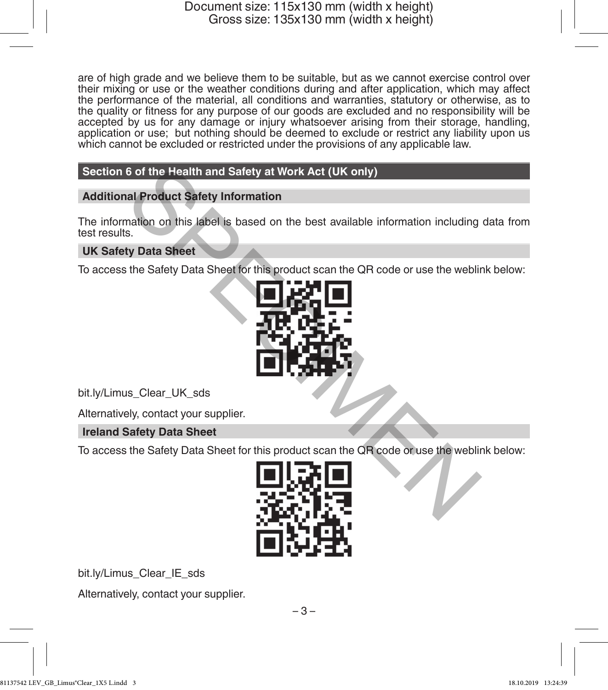are of high grade and we believe them to be suitable, but as we cannot exercise control over their mixing or use or the weather conditions during and after application, which may affect the performance of the material, all conditions and warranties, statutory or otherwise, as to the quality or fitness for any purpose of our goods are excluded and no responsibility will be accepted by us for any damage or injury whatsoever arising from their storage, handling, application or use; but nothing should be deemed to exclude or restrict any liability upon us which cannot be excluded or restricted under the provisions of any applicable law.

# **Section 6 of the Health and Safety at Work Act (UK only)**

## **Additional Product Safety Information**

The information on this label is based on the best available information including data from test results.

# **UK Safety Data Sheet**

To access the Safety Data Sheet for this product scan the QR code or use the weblink below:



bit.ly/Limus\_Clear\_UK\_sds

Alternatively, contact your supplier.

**Ireland Safety Data Sheet**

To access the Safety Data Sheet for this product scan the QR code or use the weblink below:



bit.ly/Limus\_Clear\_IE\_sds

Alternatively, contact your supplier.